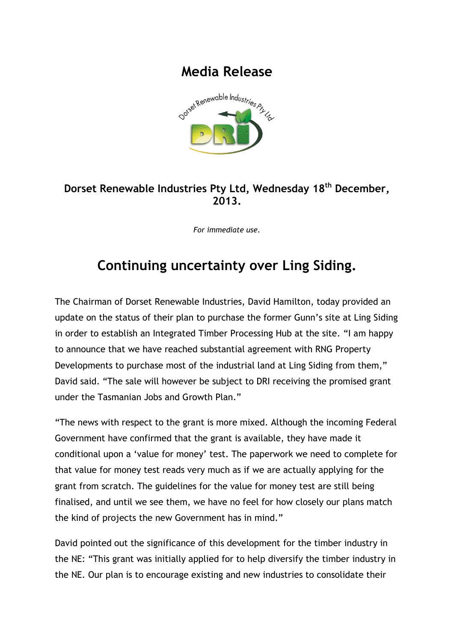## **Media Release**



## **Dorset Renewable Industries Pty Ltd, Wednesday 18 th December, 2013.**

*For immediate use.*

## **Continuing uncertainty over Ling Siding.**

The Chairman of Dorset Renewable Industries, David Hamilton, today provided an update on the status of their plan to purchase the former Gunn's site at Ling Siding in order to establish an Integrated Timber Processing Hub at the site. "I am happy to announce that we have reached substantial agreement with RNG Property Developments to purchase most of the industrial land at Ling Siding from them," David said. "The sale will however be subject to DRI receiving the promised grant under the Tasmanian Jobs and Growth Plan."

"The news with respect to the grant is more mixed. Although the incoming Federal Government have confirmed that the grant is available, they have made it conditional upon a 'value for money' test. The paperwork we need to complete for that value for money test reads very much as if we are actually applying for the grant from scratch. The guidelines for the value for money test are still being finalised, and until we see them, we have no feel for how closely our plans match the kind of projects the new Government has in mind."

David pointed out the significance of this development for the timber industry in the NE: "This grant was initially applied for to help diversify the timber industry in the NE. Our plan is to encourage existing and new industries to consolidate their